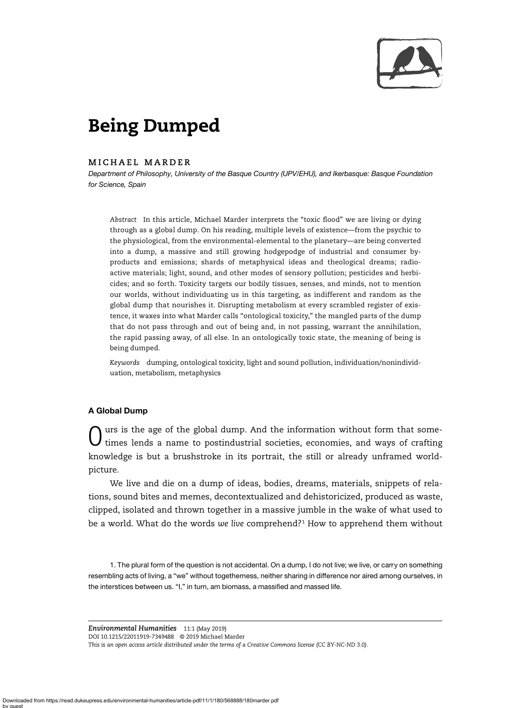

# Being Dumped

# MICHAEL MARDER

Department of Philosophy, University of the Basque Country (UPV/EHU), and Ikerbasque: Basque Foundation for Science, Spain

Abstract In this article, Michael Marder interprets the "toxic flood" we are living or dying through as a global dump. On his reading, multiple levels of existence—from the psychic to the physiological, from the environmental-elemental to the planetary—are being converted into a dump, a massive and still growing hodgepodge of industrial and consumer byproducts and emissions; shards of metaphysical ideas and theological dreams; radioactive materials; light, sound, and other modes of sensory pollution; pesticides and herbicides; and so forth. Toxicity targets our bodily tissues, senses, and minds, not to mention our worlds, without individuating us in this targeting, as indifferent and random as the global dump that nourishes it. Disrupting metabolism at every scrambled register of existence, it waxes into what Marder calls "ontological toxicity," the mangled parts of the dump that do not pass through and out of being and, in not passing, warrant the annihilation, the rapid passing away, of all else. In an ontologically toxic state, the meaning of being is being dumped.

Keywords dumping, ontological toxicity, light and sound pollution, individuation/nonindividuation, metabolism, metaphysics

### A Global Dump

 $\bigcup$  urs is the age of the global dump. And the information without form that sometimes lends a name to postindustrial societies, economies, and ways of crafting knowledge is but a brushstroke in its portrait, the still or already unframed worldpicture.

We live and die on a dump of ideas, bodies, dreams, materials, snippets of relations, sound bites and memes, decontextualized and dehistoricized, produced as waste, clipped, isolated and thrown together in a massive jumble in the wake of what used to be a world. What do the words we live comprehend?<sup>1</sup> How to apprehend them without

1. The plural form of the question is not accidental. On a dump, I do not live; we live, or carry on something resembling acts of living, a "we" without togetherness, neither sharing in difference nor aired among ourselves, in the interstices between us. "I," in turn, am biomass, a massified and massed life.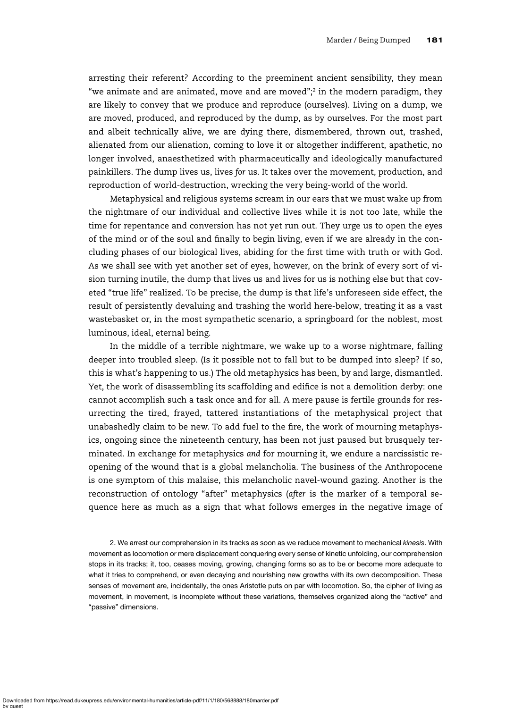arresting their referent? According to the preeminent ancient sensibility, they mean "we animate and are animated, move and are moved";<sup>2</sup> in the modern paradigm, they are likely to convey that we produce and reproduce (ourselves). Living on a dump, we are moved, produced, and reproduced by the dump, as by ourselves. For the most part and albeit technically alive, we are dying there, dismembered, thrown out, trashed, alienated from our alienation, coming to love it or altogether indifferent, apathetic, no longer involved, anaesthetized with pharmaceutically and ideologically manufactured painkillers. The dump lives us, lives for us. It takes over the movement, production, and reproduction of world-destruction, wrecking the very being-world of the world.

Metaphysical and religious systems scream in our ears that we must wake up from the nightmare of our individual and collective lives while it is not too late, while the time for repentance and conversion has not yet run out. They urge us to open the eyes of the mind or of the soul and finally to begin living, even if we are already in the concluding phases of our biological lives, abiding for the first time with truth or with God. As we shall see with yet another set of eyes, however, on the brink of every sort of vision turning inutile, the dump that lives us and lives for us is nothing else but that coveted "true life" realized. To be precise, the dump is that life's unforeseen side effect, the result of persistently devaluing and trashing the world here-below, treating it as a vast wastebasket or, in the most sympathetic scenario, a springboard for the noblest, most luminous, ideal, eternal being.

In the middle of a terrible nightmare, we wake up to a worse nightmare, falling deeper into troubled sleep. (Is it possible not to fall but to be dumped into sleep? If so, this is what's happening to us.) The old metaphysics has been, by and large, dismantled. Yet, the work of disassembling its scaffolding and edifice is not a demolition derby: one cannot accomplish such a task once and for all. A mere pause is fertile grounds for resurrecting the tired, frayed, tattered instantiations of the metaphysical project that unabashedly claim to be new. To add fuel to the fire, the work of mourning metaphysics, ongoing since the nineteenth century, has been not just paused but brusquely terminated. In exchange for metaphysics and for mourning it, we endure a narcissistic reopening of the wound that is a global melancholia. The business of the Anthropocene is one symptom of this malaise, this melancholic navel-wound gazing. Another is the reconstruction of ontology "after" metaphysics (after is the marker of a temporal sequence here as much as a sign that what follows emerges in the negative image of

2. We arrest our comprehension in its tracks as soon as we reduce movement to mechanical kinesis. With movement as locomotion or mere displacement conquering every sense of kinetic unfolding, our comprehension stops in its tracks; it, too, ceases moving, growing, changing forms so as to be or become more adequate to what it tries to comprehend, or even decaying and nourishing new growths with its own decomposition. These senses of movement are, incidentally, the ones Aristotle puts on par with locomotion. So, the cipher of living as movement, in movement, is incomplete without these variations, themselves organized along the "active" and "passive" dimensions.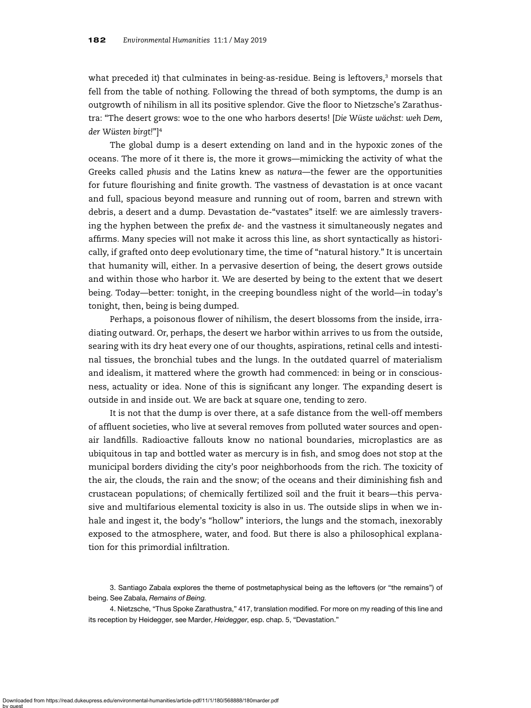what preceded it) that culminates in being-as-residue. Being is leftovers,<sup>3</sup> morsels that fell from the table of nothing. Following the thread of both symptoms, the dump is an outgrowth of nihilism in all its positive splendor. Give the floor to Nietzsche's Zarathustra: "The desert grows: woe to the one who harbors deserts! [Die Wüste wächst: weh Dem, der Wüsten birgt!"] 4

The global dump is a desert extending on land and in the hypoxic zones of the oceans. The more of it there is, the more it grows—mimicking the activity of what the Greeks called phusis and the Latins knew as natura—the fewer are the opportunities for future flourishing and finite growth. The vastness of devastation is at once vacant and full, spacious beyond measure and running out of room, barren and strewn with debris, a desert and a dump. Devastation de-"vastates" itself: we are aimlessly traversing the hyphen between the prefix de- and the vastness it simultaneously negates and affirms. Many species will not make it across this line, as short syntactically as historically, if grafted onto deep evolutionary time, the time of "natural history." It is uncertain that humanity will, either. In a pervasive desertion of being, the desert grows outside and within those who harbor it. We are deserted by being to the extent that we desert being. Today—better: tonight, in the creeping boundless night of the world—in today's tonight, then, being is being dumped.

Perhaps, a poisonous flower of nihilism, the desert blossoms from the inside, irradiating outward. Or, perhaps, the desert we harbor within arrives to us from the outside, searing with its dry heat every one of our thoughts, aspirations, retinal cells and intestinal tissues, the bronchial tubes and the lungs. In the outdated quarrel of materialism and idealism, it mattered where the growth had commenced: in being or in consciousness, actuality or idea. None of this is significant any longer. The expanding desert is outside in and inside out. We are back at square one, tending to zero.

It is not that the dump is over there, at a safe distance from the well-off members of affluent societies, who live at several removes from polluted water sources and openair landfills. Radioactive fallouts know no national boundaries, microplastics are as ubiquitous in tap and bottled water as mercury is in fish, and smog does not stop at the municipal borders dividing the city's poor neighborhoods from the rich. The toxicity of the air, the clouds, the rain and the snow; of the oceans and their diminishing fish and crustacean populations; of chemically fertilized soil and the fruit it bears—this pervasive and multifarious elemental toxicity is also in us. The outside slips in when we inhale and ingest it, the body's "hollow" interiors, the lungs and the stomach, inexorably exposed to the atmosphere, water, and food. But there is also a philosophical explanation for this primordial infiltration.

<sup>3.</sup> Santiago Zabala explores the theme of postmetaphysical being as the leftovers (or "the remains") of being. See Zabala, Remains of Being.

<sup>4.</sup> Nietzsche, "Thus Spoke Zarathustra," 417, translation modified. For more on my reading of this line and its reception by Heidegger, see Marder, Heidegger, esp. chap. 5, "Devastation."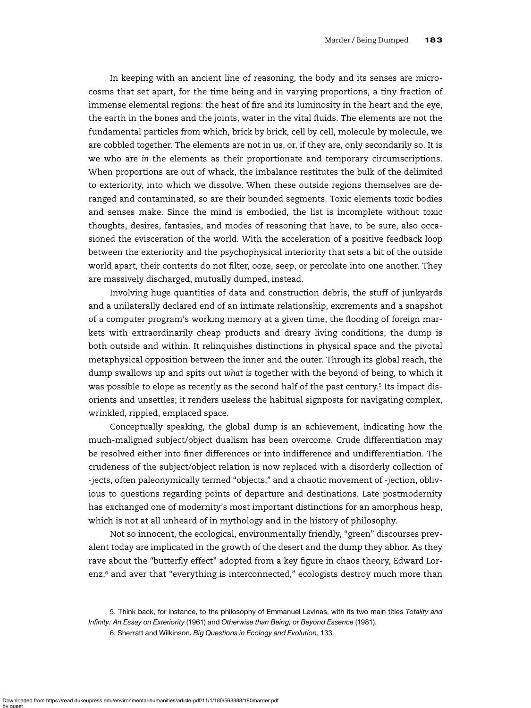In keeping with an ancient line of reasoning, the body and its senses are microcosms that set apart, for the time being and in varying proportions, a tiny fraction of immense elemental regions: the heat of fire and its luminosity in the heart and the eye, the earth in the bones and the joints, water in the vital fluids. The elements are not the fundamental particles from which, brick by brick, cell by cell, molecule by molecule, we are cobbled together. The elements are not in us, or, if they are, only secondarily so. It is we who are in the elements as their proportionate and temporary circumscriptions. When proportions are out of whack, the imbalance restitutes the bulk of the delimited to exteriority, into which we dissolve. When these outside regions themselves are deranged and contaminated, so are their bounded segments. Toxic elements toxic bodies and senses make. Since the mind is embodied, the list is incomplete without toxic thoughts, desires, fantasies, and modes of reasoning that have, to be sure, also occasioned the evisceration of the world. With the acceleration of a positive feedback loop between the exteriority and the psychophysical interiority that sets a bit of the outside world apart, their contents do not filter, ooze, seep, or percolate into one another. They are massively discharged, mutually dumped, instead.

Involving huge quantities of data and construction debris, the stuff of junkyards and a unilaterally declared end of an intimate relationship, excrements and a snapshot of a computer program's working memory at a given time, the flooding of foreign markets with extraordinarily cheap products and dreary living conditions, the dump is both outside and within. It relinquishes distinctions in physical space and the pivotal metaphysical opposition between the inner and the outer. Through its global reach, the dump swallows up and spits out what is together with the beyond of being, to which it was possible to elope as recently as the second half of the past century.<sup>5</sup> Its impact disorients and unsettles; it renders useless the habitual signposts for navigating complex, wrinkled, rippled, emplaced space.

Conceptually speaking, the global dump is an achievement, indicating how the much-maligned subject/object dualism has been overcome. Crude differentiation may be resolved either into finer differences or into indifference and undifferentiation. The crudeness of the subject/object relation is now replaced with a disorderly collection of -jects, often paleonymically termed "objects," and a chaotic movement of -jection, oblivious to questions regarding points of departure and destinations. Late postmodernity has exchanged one of modernity's most important distinctions for an amorphous heap, which is not at all unheard of in mythology and in the history of philosophy.

Not so innocent, the ecological, environmentally friendly, "green" discourses prevalent today are implicated in the growth of the desert and the dump they abhor. As they rave about the "butterfly effect" adopted from a key figure in chaos theory, Edward Lorenz,<sup>6</sup> and aver that "everything is interconnected," ecologists destroy much more than

- 5. Think back, for instance, to the philosophy of Emmanuel Levinas, with its two main titles Totality and Infinity: An Essay on Exteriority (1961) and Otherwise than Being, or Beyond Essence (1981).
	- 6. Sherratt and Wilkinson, Big Questions in Ecology and Evolution, 133.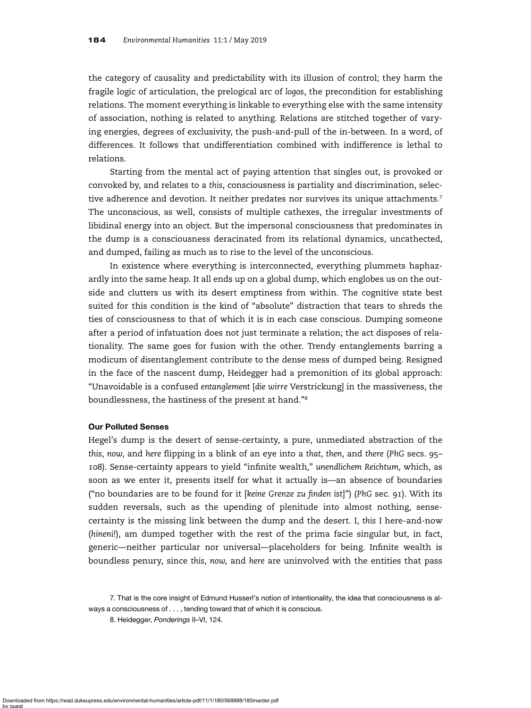the category of causality and predictability with its illusion of control; they harm the fragile logic of articulation, the prelogical arc of logos, the precondition for establishing relations. The moment everything is linkable to everything else with the same intensity of association, nothing is related to anything. Relations are stitched together of varying energies, degrees of exclusivity, the push-and-pull of the in-between. In a word, of differences. It follows that undifferentiation combined with indifference is lethal to relations.

Starting from the mental act of paying attention that singles out, is provoked or convoked by, and relates to a this, consciousness is partiality and discrimination, selective adherence and devotion. It neither predates nor survives its unique attachments.<sup>7</sup> The unconscious, as well, consists of multiple cathexes, the irregular investments of libidinal energy into an object. But the impersonal consciousness that predominates in the dump is a consciousness deracinated from its relational dynamics, uncathected, and dumped, failing as much as to rise to the level of the unconscious.

In existence where everything is interconnected, everything plummets haphazardly into the same heap. It all ends up on a global dump, which englobes us on the outside and clutters us with its desert emptiness from within. The cognitive state best suited for this condition is the kind of "absolute" distraction that tears to shreds the ties of consciousness to that of which it is in each case conscious. Dumping someone after a period of infatuation does not just terminate a relation; the act disposes of relationality. The same goes for fusion with the other. Trendy entanglements barring a modicum of disentanglement contribute to the dense mess of dumped being. Resigned in the face of the nascent dump, Heidegger had a premonition of its global approach: "Unavoidable is a confused entanglement [die wirre Verstrickung] in the massiveness, the boundlessness, the hastiness of the present at hand."<sup>8</sup>

# Our Polluted Senses

Hegel's dump is the desert of sense-certainty, a pure, unmediated abstraction of the this, now, and here flipping in a blink of an eye into a that, then, and there (PhG secs. 95– 108). Sense-certainty appears to yield "infinite wealth," unendlichem Reichtum, which, as soon as we enter it, presents itself for what it actually is—an absence of boundaries ("no boundaries are to be found for it [keine Grenze zu finden ist]") (PhG sec. 91). With its sudden reversals, such as the upending of plenitude into almost nothing, sensecertainty is the missing link between the dump and the desert. I, this I here-and-now (hineni!), am dumped together with the rest of the prima facie singular but, in fact, generic—neither particular nor universal—placeholders for being. Infinite wealth is boundless penury, since this, now, and here are uninvolved with the entities that pass

7. That is the core insight of Edmund Husserl's notion of intentionality, the idea that consciousness is always a consciousness of . . . , tending toward that of which it is conscious.

8. Heidegger, Ponderings II–VI, 124.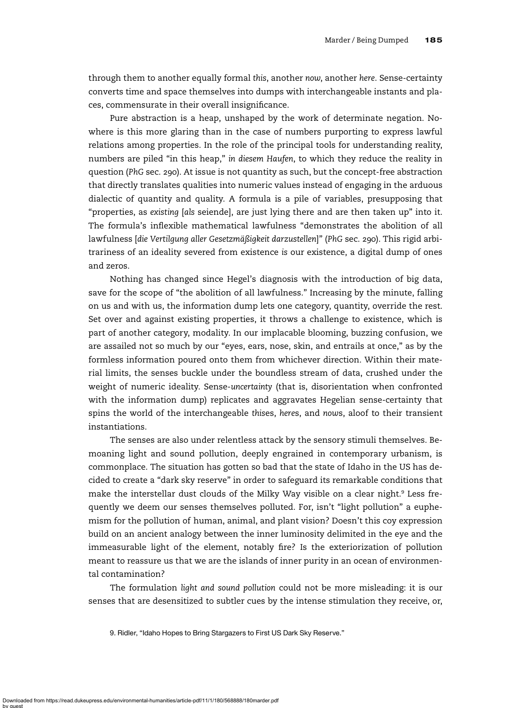through them to another equally formal this, another now, another here. Sense-certainty converts time and space themselves into dumps with interchangeable instants and places, commensurate in their overall insignificance.

Pure abstraction is a heap, unshaped by the work of determinate negation. Nowhere is this more glaring than in the case of numbers purporting to express lawful relations among properties. In the role of the principal tools for understanding reality, numbers are piled "in this heap," in diesem Haufen, to which they reduce the reality in question (PhG sec. 290). At issue is not quantity as such, but the concept-free abstraction that directly translates qualities into numeric values instead of engaging in the arduous dialectic of quantity and quality. A formula is a pile of variables, presupposing that "properties, as existing [als seiende], are just lying there and are then taken up" into it. The formula's inflexible mathematical lawfulness "demonstrates the abolition of all lawfulness [die Vertilgung aller Gesetzmäßigkeit darzustellen]" (PhG sec. 290). This rigid arbitrariness of an ideality severed from existence is our existence, a digital dump of ones and zeros.

Nothing has changed since Hegel's diagnosis with the introduction of big data, save for the scope of "the abolition of all lawfulness." Increasing by the minute, falling on us and with us, the information dump lets one category, quantity, override the rest. Set over and against existing properties, it throws a challenge to existence, which is part of another category, modality. In our implacable blooming, buzzing confusion, we are assailed not so much by our "eyes, ears, nose, skin, and entrails at once," as by the formless information poured onto them from whichever direction. Within their material limits, the senses buckle under the boundless stream of data, crushed under the weight of numeric ideality. Sense-uncertainty (that is, disorientation when confronted with the information dump) replicates and aggravates Hegelian sense-certainty that spins the world of the interchangeable thises, heres, and nows, aloof to their transient instantiations.

The senses are also under relentless attack by the sensory stimuli themselves. Bemoaning light and sound pollution, deeply engrained in contemporary urbanism, is commonplace. The situation has gotten so bad that the state of Idaho in the US has decided to create a "dark sky reserve" in order to safeguard its remarkable conditions that make the interstellar dust clouds of the Milky Way visible on a clear night.<sup>9</sup> Less frequently we deem our senses themselves polluted. For, isn't "light pollution" a euphemism for the pollution of human, animal, and plant vision? Doesn't this coy expression build on an ancient analogy between the inner luminosity delimited in the eye and the immeasurable light of the element, notably fire? Is the exteriorization of pollution meant to reassure us that we are the islands of inner purity in an ocean of environmental contamination?

The formulation light and sound pollution could not be more misleading: it is our senses that are desensitized to subtler cues by the intense stimulation they receive, or,

<sup>9.</sup> Ridler, "Idaho Hopes to Bring Stargazers to First US Dark Sky Reserve."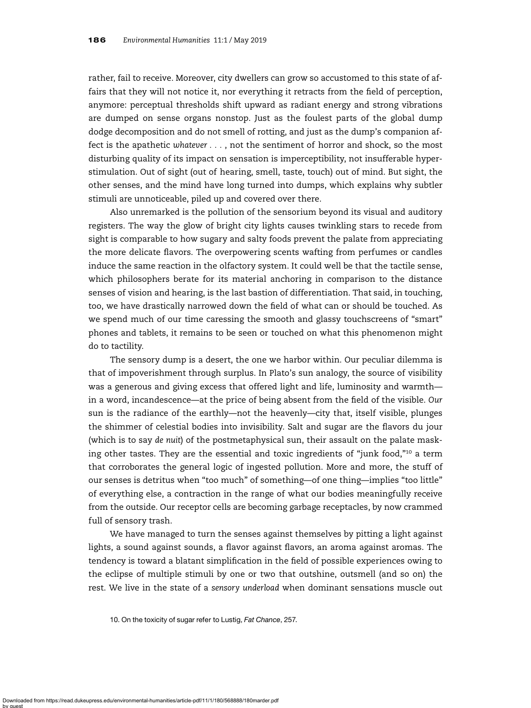rather, fail to receive. Moreover, city dwellers can grow so accustomed to this state of affairs that they will not notice it, nor everything it retracts from the field of perception, anymore: perceptual thresholds shift upward as radiant energy and strong vibrations are dumped on sense organs nonstop. Just as the foulest parts of the global dump dodge decomposition and do not smell of rotting, and just as the dump's companion affect is the apathetic whatever . . . , not the sentiment of horror and shock, so the most disturbing quality of its impact on sensation is imperceptibility, not insufferable hyperstimulation. Out of sight (out of hearing, smell, taste, touch) out of mind. But sight, the other senses, and the mind have long turned into dumps, which explains why subtler stimuli are unnoticeable, piled up and covered over there.

Also unremarked is the pollution of the sensorium beyond its visual and auditory registers. The way the glow of bright city lights causes twinkling stars to recede from sight is comparable to how sugary and salty foods prevent the palate from appreciating the more delicate flavors. The overpowering scents wafting from perfumes or candles induce the same reaction in the olfactory system. It could well be that the tactile sense, which philosophers berate for its material anchoring in comparison to the distance senses of vision and hearing, is the last bastion of differentiation. That said, in touching, too, we have drastically narrowed down the field of what can or should be touched. As we spend much of our time caressing the smooth and glassy touchscreens of "smart" phones and tablets, it remains to be seen or touched on what this phenomenon might do to tactility.

The sensory dump is a desert, the one we harbor within. Our peculiar dilemma is that of impoverishment through surplus. In Plato's sun analogy, the source of visibility was a generous and giving excess that offered light and life, luminosity and warmth in a word, incandescence—at the price of being absent from the field of the visible. Our sun is the radiance of the earthly—not the heavenly—city that, itself visible, plunges the shimmer of celestial bodies into invisibility. Salt and sugar are the flavors du jour (which is to say de nuit) of the postmetaphysical sun, their assault on the palate masking other tastes. They are the essential and toxic ingredients of "junk food,"<sup>10</sup> a term that corroborates the general logic of ingested pollution. More and more, the stuff of our senses is detritus when "too much" of something—of one thing—implies "too little" of everything else, a contraction in the range of what our bodies meaningfully receive from the outside. Our receptor cells are becoming garbage receptacles, by now crammed full of sensory trash.

We have managed to turn the senses against themselves by pitting a light against lights, a sound against sounds, a flavor against flavors, an aroma against aromas. The tendency is toward a blatant simplification in the field of possible experiences owing to the eclipse of multiple stimuli by one or two that outshine, outsmell (and so on) the rest. We live in the state of a sensory underload when dominant sensations muscle out

10. On the toxicity of sugar refer to Lustig, Fat Chance, 257.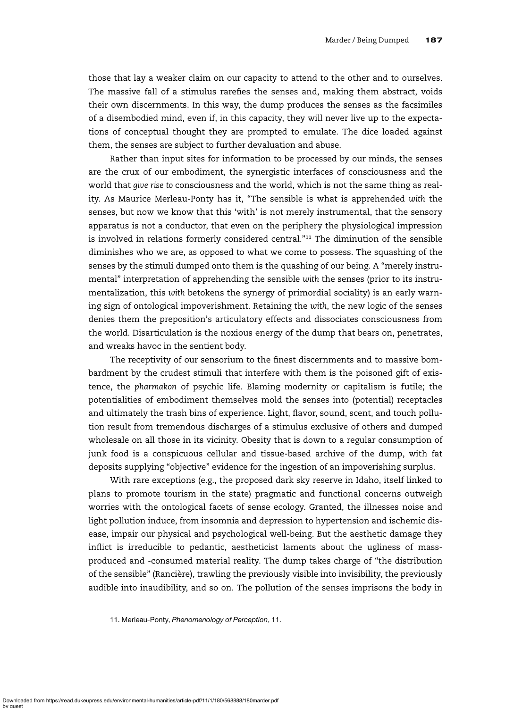those that lay a weaker claim on our capacity to attend to the other and to ourselves. The massive fall of a stimulus rarefies the senses and, making them abstract, voids their own discernments. In this way, the dump produces the senses as the facsimiles of a disembodied mind, even if, in this capacity, they will never live up to the expectations of conceptual thought they are prompted to emulate. The dice loaded against them, the senses are subject to further devaluation and abuse.

Rather than input sites for information to be processed by our minds, the senses are the crux of our embodiment, the synergistic interfaces of consciousness and the world that give rise to consciousness and the world, which is not the same thing as reality. As Maurice Merleau-Ponty has it, "The sensible is what is apprehended with the senses, but now we know that this 'with' is not merely instrumental, that the sensory apparatus is not a conductor, that even on the periphery the physiological impression is involved in relations formerly considered central."<sup>11</sup> The diminution of the sensible diminishes who we are, as opposed to what we come to possess. The squashing of the senses by the stimuli dumped onto them is the quashing of our being. A "merely instrumental" interpretation of apprehending the sensible with the senses (prior to its instrumentalization, this with betokens the synergy of primordial sociality) is an early warning sign of ontological impoverishment. Retaining the with, the new logic of the senses denies them the preposition's articulatory effects and dissociates consciousness from the world. Disarticulation is the noxious energy of the dump that bears on, penetrates, and wreaks havoc in the sentient body.

The receptivity of our sensorium to the finest discernments and to massive bombardment by the crudest stimuli that interfere with them is the poisoned gift of existence, the pharmakon of psychic life. Blaming modernity or capitalism is futile; the potentialities of embodiment themselves mold the senses into (potential) receptacles and ultimately the trash bins of experience. Light, flavor, sound, scent, and touch pollution result from tremendous discharges of a stimulus exclusive of others and dumped wholesale on all those in its vicinity. Obesity that is down to a regular consumption of junk food is a conspicuous cellular and tissue-based archive of the dump, with fat deposits supplying "objective" evidence for the ingestion of an impoverishing surplus.

With rare exceptions (e.g., the proposed dark sky reserve in Idaho, itself linked to plans to promote tourism in the state) pragmatic and functional concerns outweigh worries with the ontological facets of sense ecology. Granted, the illnesses noise and light pollution induce, from insomnia and depression to hypertension and ischemic disease, impair our physical and psychological well-being. But the aesthetic damage they inflict is irreducible to pedantic, aestheticist laments about the ugliness of massproduced and -consumed material reality. The dump takes charge of "the distribution of the sensible" (Rancière), trawling the previously visible into invisibility, the previously audible into inaudibility, and so on. The pollution of the senses imprisons the body in

11. Merleau-Ponty, Phenomenology of Perception, 11.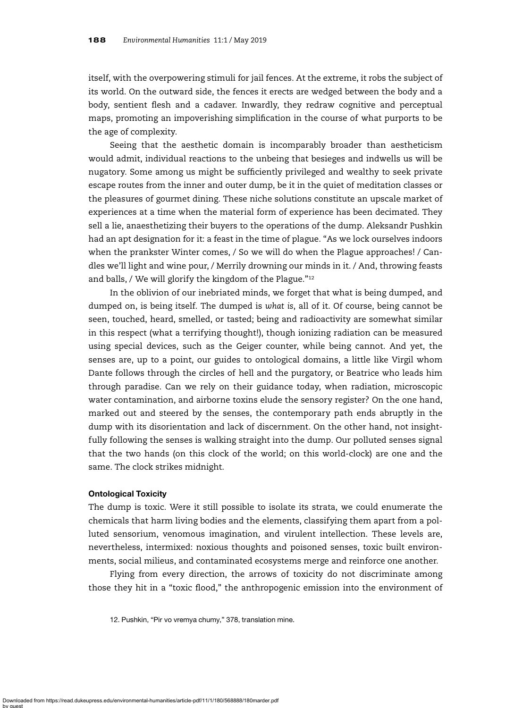itself, with the overpowering stimuli for jail fences. At the extreme, it robs the subject of its world. On the outward side, the fences it erects are wedged between the body and a body, sentient flesh and a cadaver. Inwardly, they redraw cognitive and perceptual maps, promoting an impoverishing simplification in the course of what purports to be the age of complexity.

Seeing that the aesthetic domain is incomparably broader than aestheticism would admit, individual reactions to the unbeing that besieges and indwells us will be nugatory. Some among us might be sufficiently privileged and wealthy to seek private escape routes from the inner and outer dump, be it in the quiet of meditation classes or the pleasures of gourmet dining. These niche solutions constitute an upscale market of experiences at a time when the material form of experience has been decimated. They sell a lie, anaesthetizing their buyers to the operations of the dump. Aleksandr Pushkin had an apt designation for it: a feast in the time of plague. "As we lock ourselves indoors when the prankster Winter comes, / So we will do when the Plague approaches! / Candles we'll light and wine pour, / Merrily drowning our minds in it. / And, throwing feasts and balls, / We will glorify the kingdom of the Plague."<sup>12</sup>

In the oblivion of our inebriated minds, we forget that what is being dumped, and dumped on, is being itself. The dumped is what is, all of it. Of course, being cannot be seen, touched, heard, smelled, or tasted; being and radioactivity are somewhat similar in this respect (what a terrifying thought!), though ionizing radiation can be measured using special devices, such as the Geiger counter, while being cannot. And yet, the senses are, up to a point, our guides to ontological domains, a little like Virgil whom Dante follows through the circles of hell and the purgatory, or Beatrice who leads him through paradise. Can we rely on their guidance today, when radiation, microscopic water contamination, and airborne toxins elude the sensory register? On the one hand, marked out and steered by the senses, the contemporary path ends abruptly in the dump with its disorientation and lack of discernment. On the other hand, not insightfully following the senses is walking straight into the dump. Our polluted senses signal that the two hands (on this clock of the world; on this world-clock) are one and the same. The clock strikes midnight.

# Ontological Toxicity

The dump is toxic. Were it still possible to isolate its strata, we could enumerate the chemicals that harm living bodies and the elements, classifying them apart from a polluted sensorium, venomous imagination, and virulent intellection. These levels are, nevertheless, intermixed: noxious thoughts and poisoned senses, toxic built environments, social milieus, and contaminated ecosystems merge and reinforce one another.

Flying from every direction, the arrows of toxicity do not discriminate among those they hit in a "toxic flood," the anthropogenic emission into the environment of

12. Pushkin, "Pir vo vremya chumy," 378, translation mine.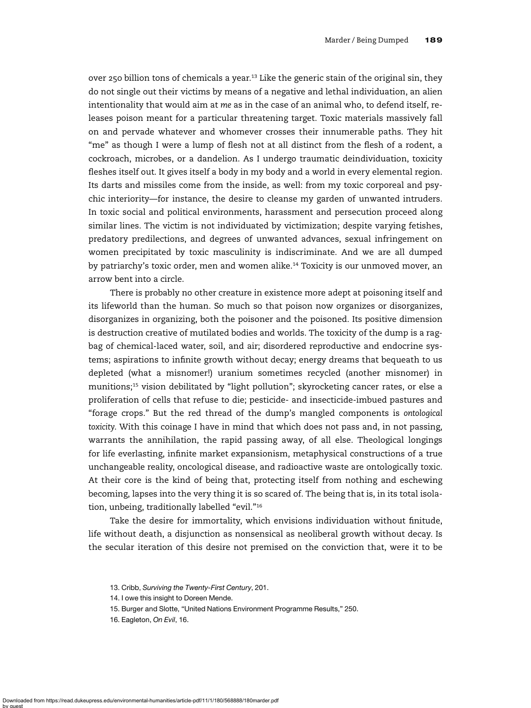over 250 billion tons of chemicals a year.<sup>13</sup> Like the generic stain of the original sin, they do not single out their victims by means of a negative and lethal individuation, an alien intentionality that would aim at me as in the case of an animal who, to defend itself, releases poison meant for a particular threatening target. Toxic materials massively fall on and pervade whatever and whomever crosses their innumerable paths. They hit "me" as though I were a lump of flesh not at all distinct from the flesh of a rodent, a cockroach, microbes, or a dandelion. As I undergo traumatic deindividuation, toxicity fleshes itself out. It gives itself a body in my body and a world in every elemental region. Its darts and missiles come from the inside, as well: from my toxic corporeal and psychic interiority—for instance, the desire to cleanse my garden of unwanted intruders. In toxic social and political environments, harassment and persecution proceed along similar lines. The victim is not individuated by victimization; despite varying fetishes, predatory predilections, and degrees of unwanted advances, sexual infringement on women precipitated by toxic masculinity is indiscriminate. And we are all dumped by patriarchy's toxic order, men and women alike.<sup>14</sup> Toxicity is our unmoved mover, an arrow bent into a circle.

There is probably no other creature in existence more adept at poisoning itself and its lifeworld than the human. So much so that poison now organizes or disorganizes, disorganizes in organizing, both the poisoner and the poisoned. Its positive dimension is destruction creative of mutilated bodies and worlds. The toxicity of the dump is a ragbag of chemical-laced water, soil, and air; disordered reproductive and endocrine systems; aspirations to infinite growth without decay; energy dreams that bequeath to us depleted (what a misnomer!) uranium sometimes recycled (another misnomer) in munitions;<sup>15</sup> vision debilitated by "light pollution"; skyrocketing cancer rates, or else a proliferation of cells that refuse to die; pesticide- and insecticide-imbued pastures and "forage crops." But the red thread of the dump's mangled components is ontological toxicity. With this coinage I have in mind that which does not pass and, in not passing, warrants the annihilation, the rapid passing away, of all else. Theological longings for life everlasting, infinite market expansionism, metaphysical constructions of a true unchangeable reality, oncological disease, and radioactive waste are ontologically toxic. At their core is the kind of being that, protecting itself from nothing and eschewing becoming, lapses into the very thing it is so scared of. The being that is, in its total isolation, unbeing, traditionally labelled "evil."<sup>16</sup>

Take the desire for immortality, which envisions individuation without finitude, life without death, a disjunction as nonsensical as neoliberal growth without decay. Is the secular iteration of this desire not premised on the conviction that, were it to be

<sup>13.</sup> Cribb, Surviving the Twenty-First Century, 201.

<sup>14.</sup> I owe this insight to Doreen Mende.

<sup>15.</sup> Burger and Slotte, "United Nations Environment Programme Results," 250.

<sup>16.</sup> Eagleton, On Evil, 16.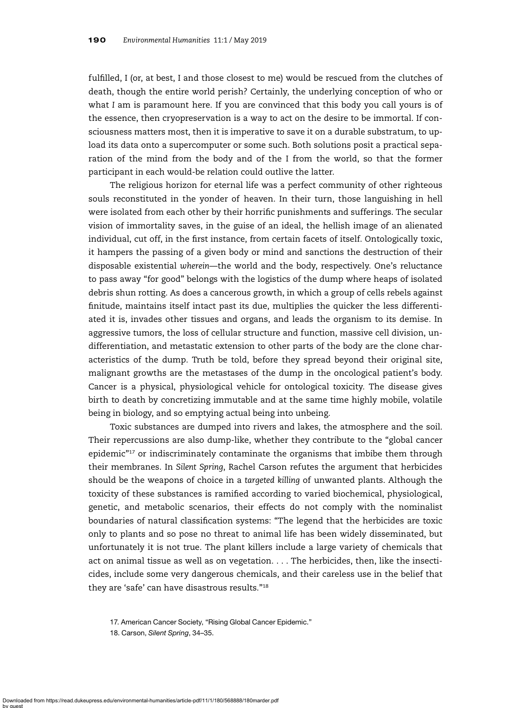fulfilled, I (or, at best, I and those closest to me) would be rescued from the clutches of death, though the entire world perish? Certainly, the underlying conception of who or what I am is paramount here. If you are convinced that this body you call yours is of the essence, then cryopreservation is a way to act on the desire to be immortal. If consciousness matters most, then it is imperative to save it on a durable substratum, to upload its data onto a supercomputer or some such. Both solutions posit a practical separation of the mind from the body and of the I from the world, so that the former participant in each would-be relation could outlive the latter.

The religious horizon for eternal life was a perfect community of other righteous souls reconstituted in the yonder of heaven. In their turn, those languishing in hell were isolated from each other by their horrific punishments and sufferings. The secular vision of immortality saves, in the guise of an ideal, the hellish image of an alienated individual, cut off, in the first instance, from certain facets of itself. Ontologically toxic, it hampers the passing of a given body or mind and sanctions the destruction of their disposable existential wherein—the world and the body, respectively. One's reluctance to pass away "for good" belongs with the logistics of the dump where heaps of isolated debris shun rotting. As does a cancerous growth, in which a group of cells rebels against finitude, maintains itself intact past its due, multiplies the quicker the less differentiated it is, invades other tissues and organs, and leads the organism to its demise. In aggressive tumors, the loss of cellular structure and function, massive cell division, undifferentiation, and metastatic extension to other parts of the body are the clone characteristics of the dump. Truth be told, before they spread beyond their original site, malignant growths are the metastases of the dump in the oncological patient's body. Cancer is a physical, physiological vehicle for ontological toxicity. The disease gives birth to death by concretizing immutable and at the same time highly mobile, volatile being in biology, and so emptying actual being into unbeing.

Toxic substances are dumped into rivers and lakes, the atmosphere and the soil. Their repercussions are also dump-like, whether they contribute to the "global cancer epidemic<sup>"17</sup> or indiscriminately contaminate the organisms that imbibe them through their membranes. In Silent Spring, Rachel Carson refutes the argument that herbicides should be the weapons of choice in a targeted killing of unwanted plants. Although the toxicity of these substances is ramified according to varied biochemical, physiological, genetic, and metabolic scenarios, their effects do not comply with the nominalist boundaries of natural classification systems: "The legend that the herbicides are toxic only to plants and so pose no threat to animal life has been widely disseminated, but unfortunately it is not true. The plant killers include a large variety of chemicals that act on animal tissue as well as on vegetation. . . . The herbicides, then, like the insecticides, include some very dangerous chemicals, and their careless use in the belief that they are 'safe' can have disastrous results."<sup>18</sup>

<sup>17.</sup> American Cancer Society, "Rising Global Cancer Epidemic."

<sup>18.</sup> Carson, Silent Spring, 34–35.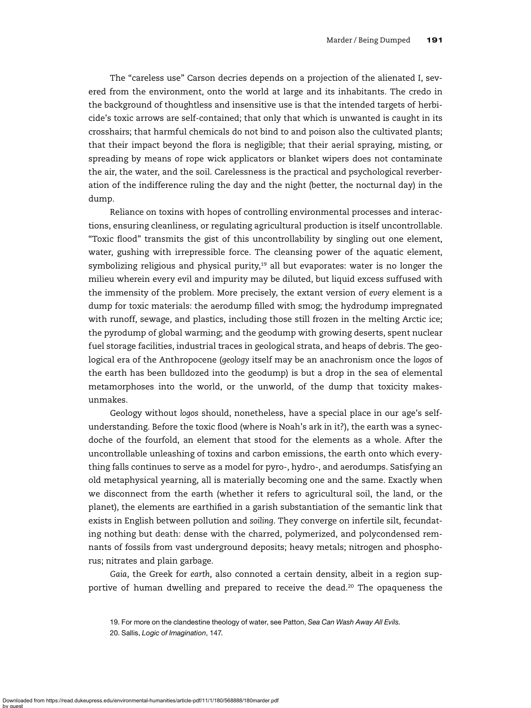The "careless use" Carson decries depends on a projection of the alienated I, severed from the environment, onto the world at large and its inhabitants. The credo in the background of thoughtless and insensitive use is that the intended targets of herbicide's toxic arrows are self-contained; that only that which is unwanted is caught in its crosshairs; that harmful chemicals do not bind to and poison also the cultivated plants; that their impact beyond the flora is negligible; that their aerial spraying, misting, or spreading by means of rope wick applicators or blanket wipers does not contaminate the air, the water, and the soil. Carelessness is the practical and psychological reverberation of the indifference ruling the day and the night (better, the nocturnal day) in the dump.

Reliance on toxins with hopes of controlling environmental processes and interactions, ensuring cleanliness, or regulating agricultural production is itself uncontrollable. "Toxic flood" transmits the gist of this uncontrollability by singling out one element, water, gushing with irrepressible force. The cleansing power of the aquatic element, symbolizing religious and physical purity, $19$  all but evaporates: water is no longer the milieu wherein every evil and impurity may be diluted, but liquid excess suffused with the immensity of the problem. More precisely, the extant version of every element is a dump for toxic materials: the aerodump filled with smog; the hydrodump impregnated with runoff, sewage, and plastics, including those still frozen in the melting Arctic ice; the pyrodump of global warming; and the geodump with growing deserts, spent nuclear fuel storage facilities, industrial traces in geological strata, and heaps of debris. The geological era of the Anthropocene (geology itself may be an anachronism once the logos of the earth has been bulldozed into the geodump) is but a drop in the sea of elemental metamorphoses into the world, or the unworld, of the dump that toxicity makesunmakes.

Geology without logos should, nonetheless, have a special place in our age's selfunderstanding. Before the toxic flood (where is Noah's ark in it?), the earth was a synecdoche of the fourfold, an element that stood for the elements as a whole. After the uncontrollable unleashing of toxins and carbon emissions, the earth onto which everything falls continues to serve as a model for pyro-, hydro-, and aerodumps. Satisfying an old metaphysical yearning, all is materially becoming one and the same. Exactly when we disconnect from the earth (whether it refers to agricultural soil, the land, or the planet), the elements are earthified in a garish substantiation of the semantic link that exists in English between pollution and soiling. They converge on infertile silt, fecundating nothing but death: dense with the charred, polymerized, and polycondensed remnants of fossils from vast underground deposits; heavy metals; nitrogen and phosphorus; nitrates and plain garbage.

Gaia, the Greek for earth, also connoted a certain density, albeit in a region supportive of human dwelling and prepared to receive the dead.<sup>20</sup> The opaqueness the

<sup>19.</sup> For more on the clandestine theology of water, see Patton, Sea Can Wash Away All Evils.

<sup>20.</sup> Sallis, Logic of Imagination, 147.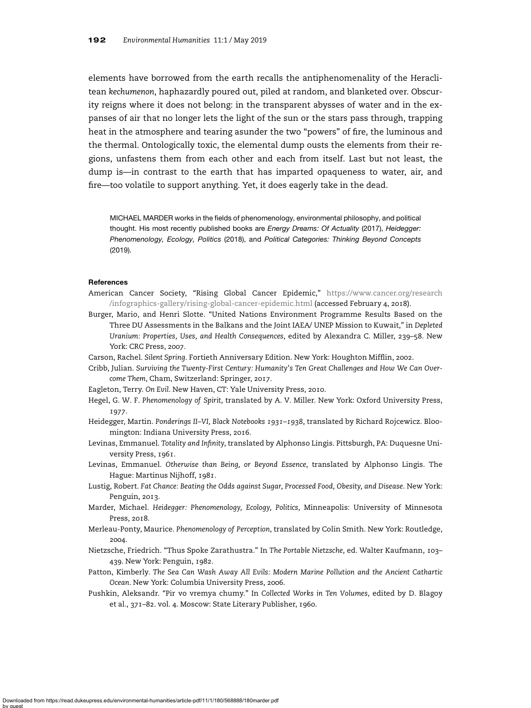elements have borrowed from the earth recalls the antiphenomenality of the Heraclitean kechumenon, haphazardly poured out, piled at random, and blanketed over. Obscurity reigns where it does not belong: in the transparent abysses of water and in the expanses of air that no longer lets the light of the sun or the stars pass through, trapping heat in the atmosphere and tearing asunder the two "powers" of fire, the luminous and the thermal. Ontologically toxic, the elemental dump ousts the elements from their regions, unfastens them from each other and each from itself. Last but not least, the dump is—in contrast to the earth that has imparted opaqueness to water, air, and fire—too volatile to support anything. Yet, it does eagerly take in the dead.

MICHAEL MARDER works in the fields of phenomenology, environmental philosophy, and political thought. His most recently published books are Energy Dreams: Of Actuality (2017), Heidegger: Phenomenology, Ecology, Politics (2018), and Political Categories: Thinking Beyond Concepts (2019).

#### References

- American Cancer Society, "Rising Global Cancer Epidemic," [https://www.cancer.org/research](https://www.cancer.org/research/infographics-gallery/rising-global-cancer-epidemic.html) [/infographics-gallery/rising-global-cancer-epidemic.html](https://www.cancer.org/research/infographics-gallery/rising-global-cancer-epidemic.html) (accessed February 4, 2018).
- Burger, Mario, and Henri Slotte. "United Nations Environment Programme Results Based on the Three DU Assessments in the Balkans and the Joint IAEA/ UNEP Mission to Kuwait," in Depleted Uranium: Properties, Uses, and Health Consequences, edited by Alexandra C. Miller, 239–58. New York: CRC Press, 2007.
- Carson, Rachel. Silent Spring. Fortieth Anniversary Edition. New York: Houghton Mifflin, 2002.
- Cribb, Julian. Surviving the Twenty-First Century: Humanity's Ten Great Challenges and How We Can Overcome Them, Cham, Switzerland: Springer, 2017.
- Eagleton, Terry. On Evil. New Haven, CT: Yale University Press, 2010.
- Hegel, G. W. F. Phenomenology of Spirit, translated by A. V. Miller. New York: Oxford University Press, 1977.
- Heidegger, Martin. Ponderings II–VI, Black Notebooks 1931–1938, translated by Richard Rojcewicz. Bloomington: Indiana University Press, 2016.
- Levinas, Emmanuel. Totality and Infinity, translated by Alphonso Lingis. Pittsburgh, PA: Duquesne University Press, 1961.
- Levinas, Emmanuel. Otherwise than Being, or Beyond Essence, translated by Alphonso Lingis. The Hague: Martinus Nijhoff, 1981.
- Lustig, Robert. Fat Chance: Beating the Odds against Sugar, Processed Food, Obesity, and Disease. New York: Penguin, 2013.
- Marder, Michael. Heidegger: Phenomenology, Ecology, Politics, Minneapolis: University of Minnesota Press, 2018.
- Merleau-Ponty, Maurice. Phenomenology of Perception, translated by Colin Smith. New York: Routledge, 2004.
- Nietzsche, Friedrich. "Thus Spoke Zarathustra." In The Portable Nietzsche, ed. Walter Kaufmann, 103– 439. New York: Penguin, 1982.
- Patton, Kimberly. The Sea Can Wash Away All Evils: Modern Marine Pollution and the Ancient Cathartic Ocean. New York: Columbia University Press, 2006.
- Pushkin, Aleksandr. "Pir vo vremya chumy." In Collected Works in Ten Volumes, edited by D. Blagoy et al., 371–82. vol. 4. Moscow: State Literary Publisher, 1960.